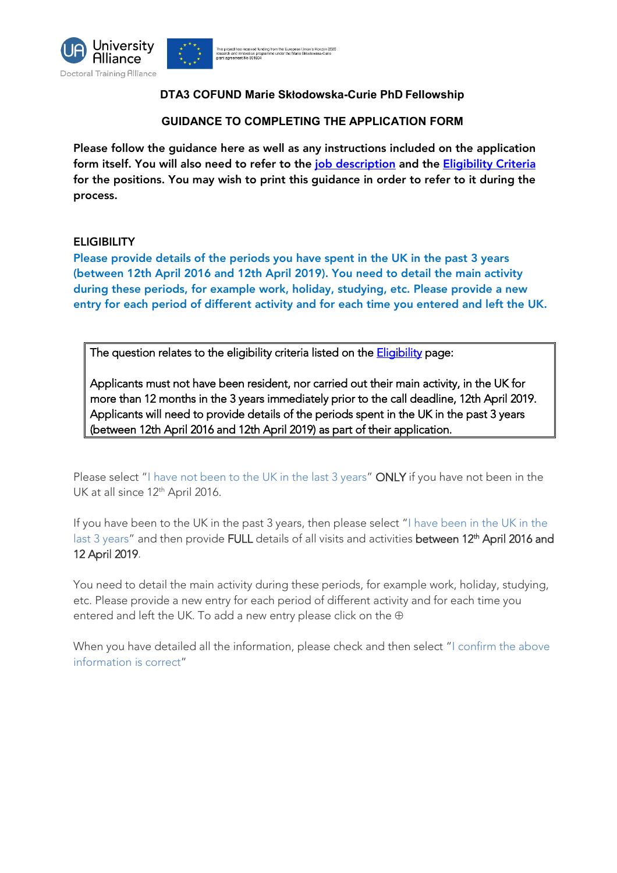



## **DTA3 COFUND Marie Skłodowska-Curie PhD Fellowship**

### **GUIDANCE TO COMPLETING THE APPLICATION FORM**

Please follow the guidance here as well as any instructions included on the application form itself. You will also need to refer to the [job description](https://unialliance.ac.uk/dta/cofund/job-desciption/) and the [Eligibility Criteria](https://unialliance.ac.uk/dta/cofund/eligibility/) for the positions. You may wish to print this guidance in order to refer to it during the process.

#### **ELIGIBILITY**

Please provide details of the periods you have spent in the UK in the past 3 years (between 12th April 2016 and 12th April 2019). You need to detail the main activity during these periods, for example work, holiday, studying, etc. Please provide a new entry for each period of different activity and for each time you entered and left the UK.

The question relates to the eligibility criteria listed on the **Eligibility** page:

Applicants must not have been resident, nor carried out their main activity, in the UK for more than 12 months in the 3 years immediately prior to the call deadline, 12th April 2019. Applicants will need to provide details of the periods spent in the UK in the past 3 years (between 12th April 2016 and 12th April 2019) as part of their application.

Please select "I have not been to the UK in the last 3 years" ONLY if you have not been in the UK at all since 12<sup>th</sup> April 2016.

If you have been to the UK in the past 3 years, then please select "I have been in the UK in the last 3 years" and then provide FULL details of all visits and activities between 12<sup>th</sup> April 2016 and 12 April 2019.

You need to detail the main activity during these periods, for example work, holiday, studying, etc. Please provide a new entry for each period of different activity and for each time you entered and left the UK. To add a new entry please click on the ⊕

When you have detailed all the information, please check and then select "I confirm the above information is correct"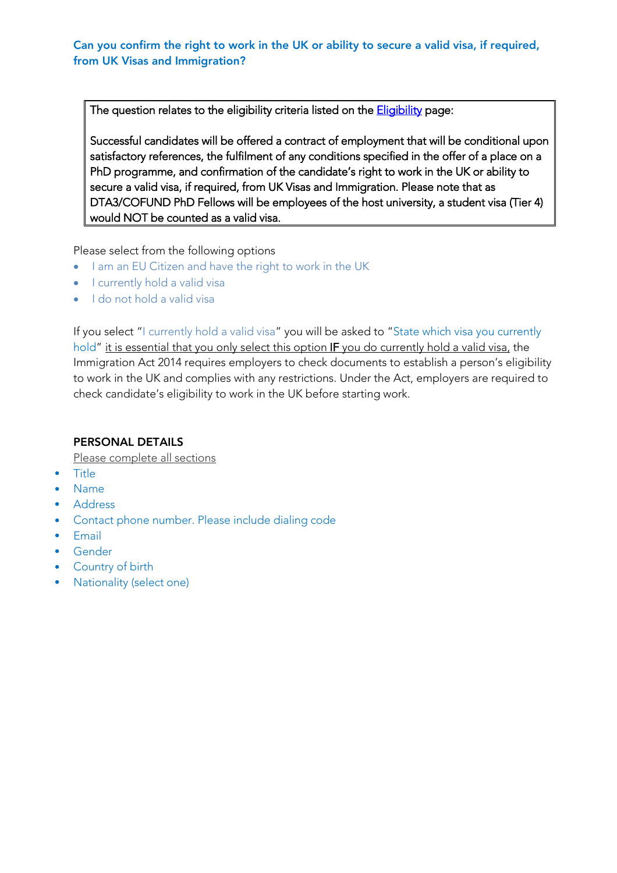### Can you confirm the right to work in the UK or ability to secure a valid visa, if required, from UK Visas and Immigration?

The question relates to the eligibility criteria listed on the **Eligibility** page:

Successful candidates will be offered a contract of employment that will be conditional upon satisfactory references, the fulfilment of any conditions specified in the offer of a place on a PhD programme, and confirmation of the candidate's right to work in the UK or ability to secure a valid visa, if required, from UK Visas and Immigration. Please note that as DTA3/COFUND PhD Fellows will be employees of the host university, a student visa (Tier 4) would NOT be counted as a valid visa.

Please select from the following options

- I am an EU Citizen and have the right to work in the UK
- I currently hold a valid visa
- I do not hold a valid visa

If you select "I currently hold a valid visa" you will be asked to "State which visa you currently hold" it is essential that you only select this option IF you do currently hold a valid visa, the Immigration Act 2014 requires employers to check documents to establish a person's eligibility to work in the UK and complies with any restrictions. Under the Act, employers are required to check candidate's eligibility to work in the UK before starting work.

## PERSONAL DETAILS

Please complete all sections

- Title
- Name
- **Address**
- Contact phone number. Please include dialing code
- Email
- Gender
- Country of birth
- **Nationality (select one)**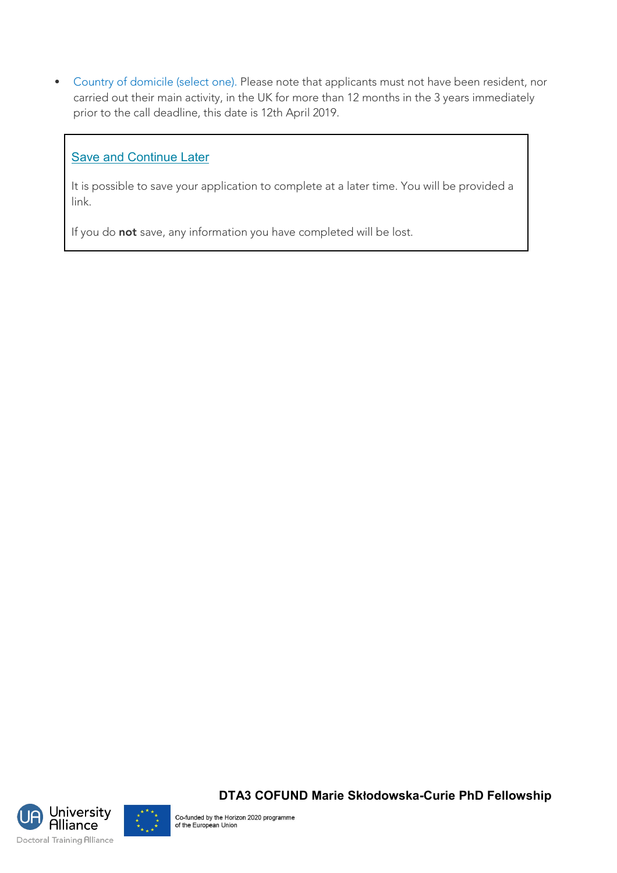• Country of domicile (select one). Please note that applicants must not have been resident, nor carried out their main activity, in the UK for more than 12 months in the 3 years immediately prior to the call deadline, this date is 12th April 2019.

## Save and Continue Later

It is possible to save your application to complete at a later time. You will be provided a link.

If you do not save, any information you have completed will be lost.



**DTA3 COFUND Marie Skłodowska-Curie PhD Fellowship**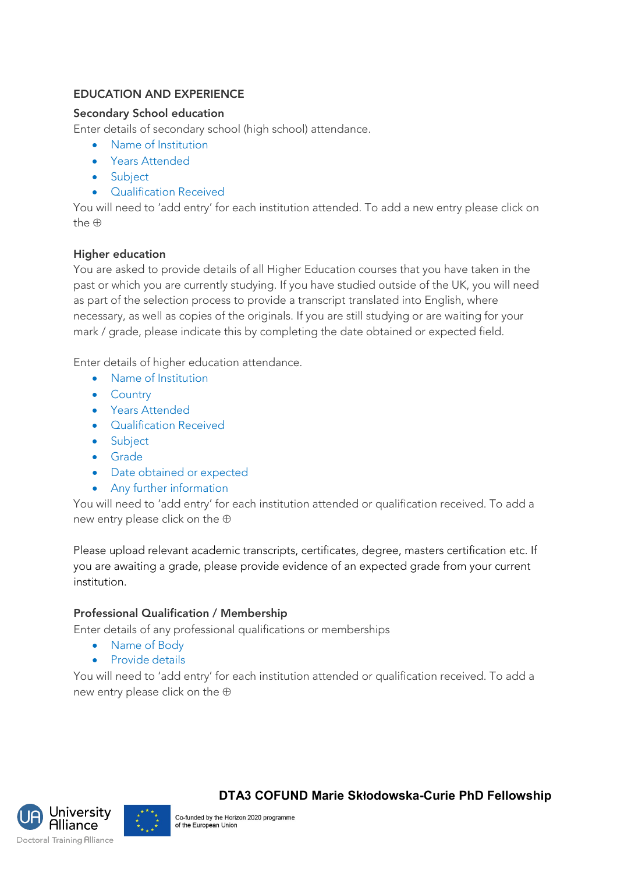## EDUCATION AND EXPERIENCE

### Secondary School education

Enter details of secondary school (high school) attendance.

- Name of Institution
- Years Attended
- Subject
- Qualification Received

You will need to 'add entry' for each institution attended. To add a new entry please click on the ⊕

#### Higher education

You are asked to provide details of all Higher Education courses that you have taken in the past or which you are currently studying. If you have studied outside of the UK, you will need as part of the selection process to provide a transcript translated into English, where necessary, as well as copies of the originals. If you are still studying or are waiting for your mark / grade, please indicate this by completing the date obtained or expected field.

Enter details of higher education attendance.

- Name of Institution
- Country
- Years Attended
- Qualification Received
- Subject
- Grade
- Date obtained or expected
- Any further information

You will need to 'add entry' for each institution attended or qualification received. To add a new entry please click on the ⊕

Please upload relevant academic transcripts, certificates, degree, masters certification etc. If you are awaiting a grade, please provide evidence of an expected grade from your current institution.

### Professional Qualification / Membership

Enter details of any professional qualifications or memberships

- Name of Body
- Provide details

You will need to 'add entry' for each institution attended or qualification received. To add a new entry please click on the ⊕





**DTA3 COFUND Marie Skłodowska-Curie PhD Fellowship**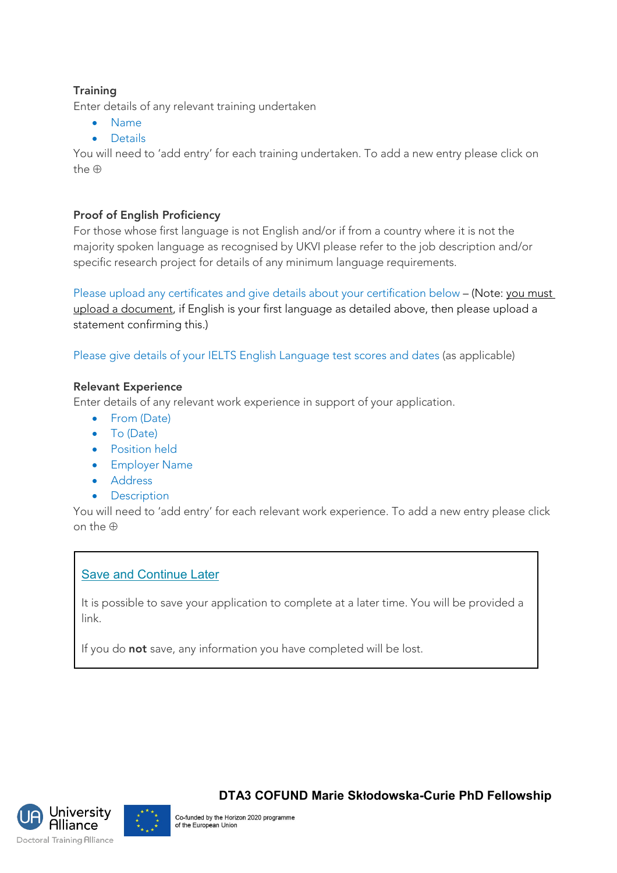## **Training**

Enter details of any relevant training undertaken

- Name
- Details

You will need to 'add entry' for each training undertaken. To add a new entry please click on the ⊕

## Proof of English Proficiency

For those whose first language is not English and/or if from a country where it is not the majority spoken language as recognised by UKVI please refer to the job description and/or specific research project for details of any minimum language requirements.

Please upload any certificates and give details about your certification below – (Note: you must upload a document, if English is your first language as detailed above, then please upload a statement confirming this.)

Please give details of your IELTS English Language test scores and dates (as applicable)

### Relevant Experience

Enter details of any relevant work experience in support of your application.

- From (Date)
- To (Date)
- **Position held**
- Employer Name
- Address
- Description

You will need to 'add entry' for each relevant work experience. To add a new entry please click on the ⊕

## Save and Continue Later

It is possible to save your application to complete at a later time. You will be provided a link.

If you do not save, any information you have completed will be lost.



**DTA3 COFUND Marie Skłodowska-Curie PhD Fellowship**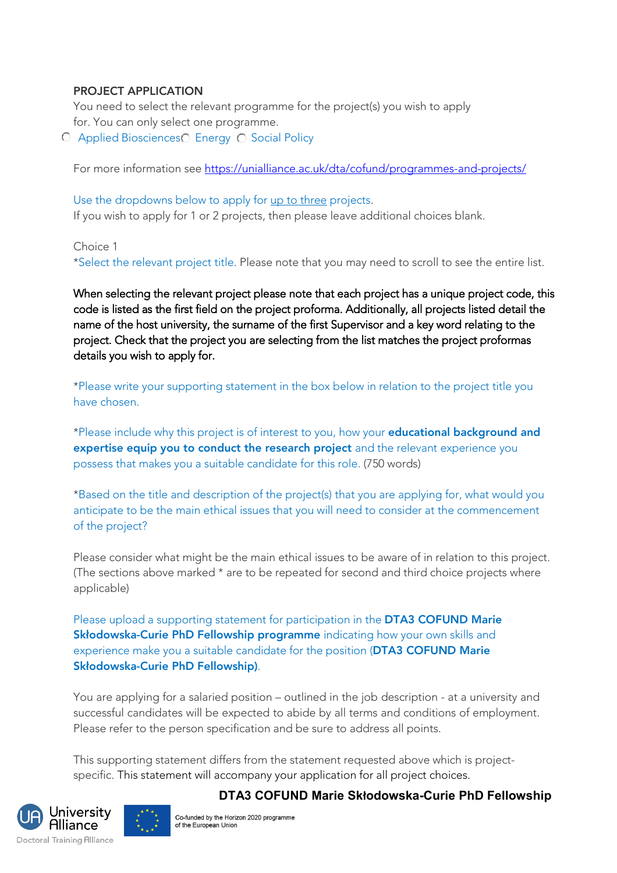#### PROJECT APPLICATION

You need to select the relevant programme for the project(s) you wish to apply for. You can only select one programme.

 $O$  Applied Biosciences $O$  Energy  $O$  Social Policy

For more information see https://unialliance.ac.uk/dta/cofund/programmes-and-projects/

Use the dropdowns below to apply for up to three projects. If you wish to apply for 1 or 2 projects, then please leave additional choices blank.

Choice 1 \*Select the relevant project title. Please note that you may need to scroll to see the entire list.

When selecting the relevant project please note that each project has a unique project code, this code is listed as the first field on the project proforma. Additionally, all projects listed detail the name of the host university, the surname of the first Supervisor and a key word relating to the project. Check that the project you are selecting from the list matches the project proformas details you wish to apply for.

\*Please write your supporting statement in the box below in relation to the project title you have chosen.

\*Please include why this project is of interest to you, how your **educational background and** expertise equip you to conduct the research project and the relevant experience you possess that makes you a suitable candidate for this role. (750 words)

\*Based on the title and description of the project(s) that you are applying for, what would you anticipate to be the main ethical issues that you will need to consider at the commencement of the project?

Please consider what might be the main ethical issues to be aware of in relation to this project. (The sections above marked \* are to be repeated for second and third choice projects where applicable)

Please upload a supporting statement for participation in the **DTA3 COFUND Marie** Skłodowska-Curie PhD Fellowship programme indicating how your own skills and experience make you a suitable candidate for the position (DTA3 COFUND Marie Skłodowska-Curie PhD Fellowship).

You are applying for a salaried position – outlined in the job description - at a university and successful candidates will be expected to abide by all terms and conditions of employment. Please refer to the person specification and be sure to address all points.

This supporting statement differs from the statement requested above which is projectspecific. This statement will accompany your application for all project choices.





**DTA3 COFUND Marie Skłodowska-Curie PhD Fellowship**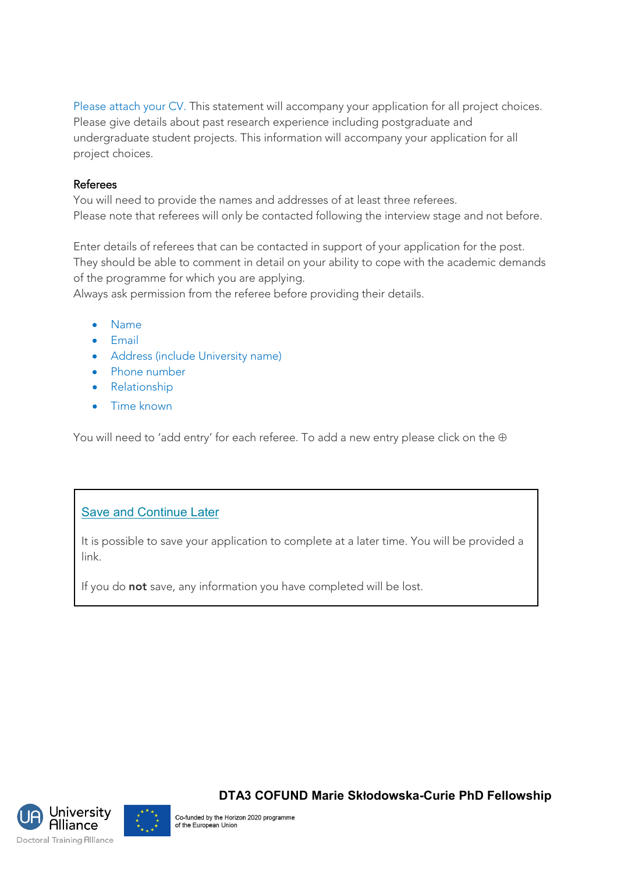Please attach your CV. This statement will accompany your application for all project choices. Please give details about past research experience including postgraduate and undergraduate student projects. This information will accompany your application for all project choices.

### Referees

You will need to provide the names and addresses of at least three referees. Please note that referees will only be contacted following the interview stage and not before.

Enter details of referees that can be contacted in support of your application for the post. They should be able to comment in detail on your ability to cope with the academic demands of the programme for which you are applying.

Always ask permission from the referee before providing their details.

- Name
- Email
- Address (include University name)
- Phone number
- Relationship
- Time known

You will need to 'add entry' for each referee. To add a new entry please click on the ⊕

# Save and Continue Later

It is possible to save your application to complete at a later time. You will be provided a link.

If you do not save, any information you have completed will be lost.



**DTA3 COFUND Marie Skłodowska-Curie PhD Fellowship**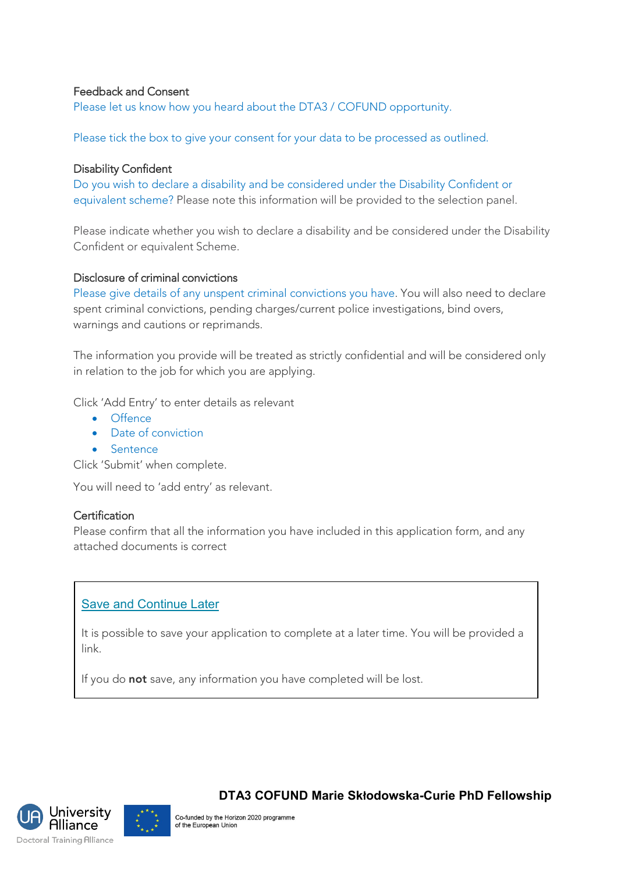#### Feedback and Consent

Please let us know how you heard about the DTA3 / COFUND opportunity.

Please tick the box to give your consent for your data to be processed as outlined.

#### Disability Confident

Do you wish to declare a disability and be considered under the Disability Confident or equivalent scheme? Please note this information will be provided to the selection panel.

Please indicate whether you wish to declare a disability and be considered under the Disability Confident or equivalent Scheme.

#### Disclosure of criminal convictions

Please give details of any unspent criminal convictions you have. You will also need to declare spent criminal convictions, pending charges/current police investigations, bind overs, warnings and cautions or reprimands.

The information you provide will be treated as strictly confidential and will be considered only in relation to the job for which you are applying.

Click 'Add Entry' to enter details as relevant

- Offence
- Date of conviction
- Sentence

Click 'Submit' when complete.

You will need to 'add entry' as relevant.

#### **Certification**

Please confirm that all the information you have included in this application form, and any attached documents is correct

## Save and Continue Later

It is possible to save your application to complete at a later time. You will be provided a link.

If you do not save, any information you have completed will be lost.



**DTA3 COFUND Marie Skłodowska-Curie PhD Fellowship**